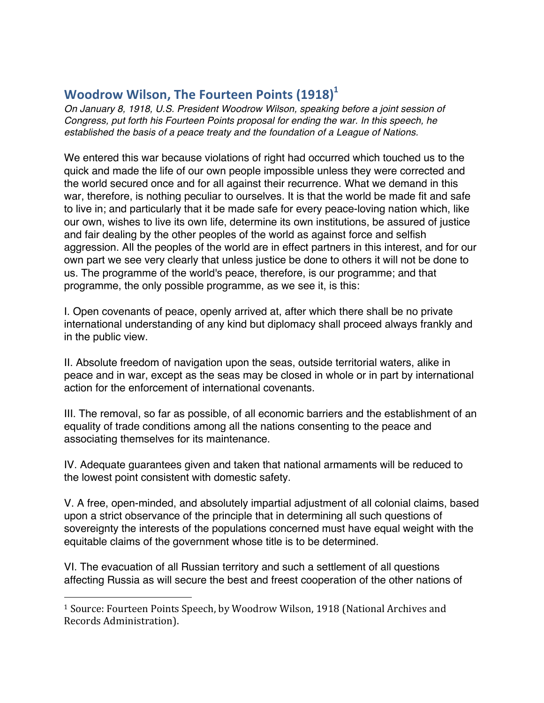## **Woodrow Wilson, The Fourteen Points (1918)**<sup>1</sup>

*On January 8, 1918, U.S. President Woodrow Wilson, speaking before a joint session of Congress, put forth his Fourteen Points proposal for ending the war. In this speech, he established the basis of a peace treaty and the foundation of a League of Nations.*

We entered this war because violations of right had occurred which touched us to the quick and made the life of our own people impossible unless they were corrected and the world secured once and for all against their recurrence. What we demand in this war, therefore, is nothing peculiar to ourselves. It is that the world be made fit and safe to live in; and particularly that it be made safe for every peace-loving nation which, like our own, wishes to live its own life, determine its own institutions, be assured of justice and fair dealing by the other peoples of the world as against force and selfish aggression. All the peoples of the world are in effect partners in this interest, and for our own part we see very clearly that unless justice be done to others it will not be done to us. The programme of the world's peace, therefore, is our programme; and that programme, the only possible programme, as we see it, is this:

I. Open covenants of peace, openly arrived at, after which there shall be no private international understanding of any kind but diplomacy shall proceed always frankly and in the public view.

II. Absolute freedom of navigation upon the seas, outside territorial waters, alike in peace and in war, except as the seas may be closed in whole or in part by international action for the enforcement of international covenants.

III. The removal, so far as possible, of all economic barriers and the establishment of an equality of trade conditions among all the nations consenting to the peace and associating themselves for its maintenance.

IV. Adequate guarantees given and taken that national armaments will be reduced to the lowest point consistent with domestic safety.

V. A free, open-minded, and absolutely impartial adjustment of all colonial claims, based upon a strict observance of the principle that in determining all such questions of sovereignty the interests of the populations concerned must have equal weight with the equitable claims of the government whose title is to be determined.

VI. The evacuation of all Russian territory and such a settlement of all questions affecting Russia as will secure the best and freest cooperation of the other nations of

 

<sup>&</sup>lt;sup>1</sup> Source: Fourteen Points Speech, by Woodrow Wilson, 1918 (National Archives and Records Administration).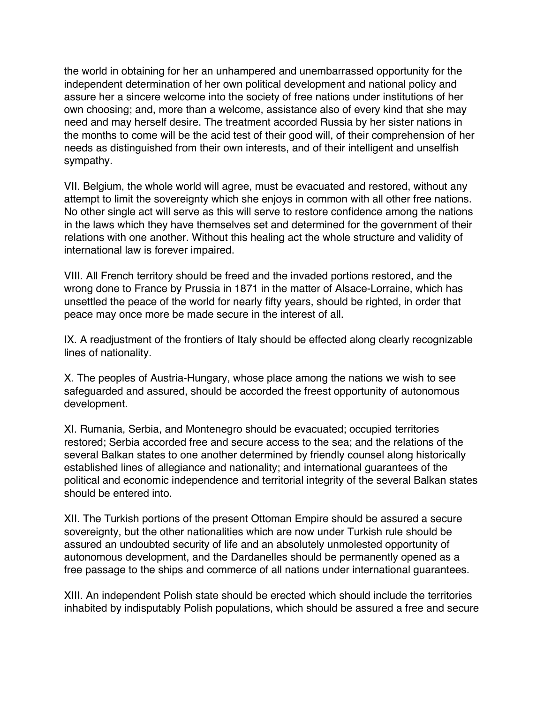the world in obtaining for her an unhampered and unembarrassed opportunity for the independent determination of her own political development and national policy and assure her a sincere welcome into the society of free nations under institutions of her own choosing; and, more than a welcome, assistance also of every kind that she may need and may herself desire. The treatment accorded Russia by her sister nations in the months to come will be the acid test of their good will, of their comprehension of her needs as distinguished from their own interests, and of their intelligent and unselfish sympathy.

VII. Belgium, the whole world will agree, must be evacuated and restored, without any attempt to limit the sovereignty which she enjoys in common with all other free nations. No other single act will serve as this will serve to restore confidence among the nations in the laws which they have themselves set and determined for the government of their relations with one another. Without this healing act the whole structure and validity of international law is forever impaired.

VIII. All French territory should be freed and the invaded portions restored, and the wrong done to France by Prussia in 1871 in the matter of Alsace-Lorraine, which has unsettled the peace of the world for nearly fifty years, should be righted, in order that peace may once more be made secure in the interest of all.

IX. A readjustment of the frontiers of Italy should be effected along clearly recognizable lines of nationality.

X. The peoples of Austria-Hungary, whose place among the nations we wish to see safeguarded and assured, should be accorded the freest opportunity of autonomous development.

XI. Rumania, Serbia, and Montenegro should be evacuated; occupied territories restored; Serbia accorded free and secure access to the sea; and the relations of the several Balkan states to one another determined by friendly counsel along historically established lines of allegiance and nationality; and international guarantees of the political and economic independence and territorial integrity of the several Balkan states should be entered into.

XII. The Turkish portions of the present Ottoman Empire should be assured a secure sovereignty, but the other nationalities which are now under Turkish rule should be assured an undoubted security of life and an absolutely unmolested opportunity of autonomous development, and the Dardanelles should be permanently opened as a free passage to the ships and commerce of all nations under international guarantees.

XIII. An independent Polish state should be erected which should include the territories inhabited by indisputably Polish populations, which should be assured a free and secure